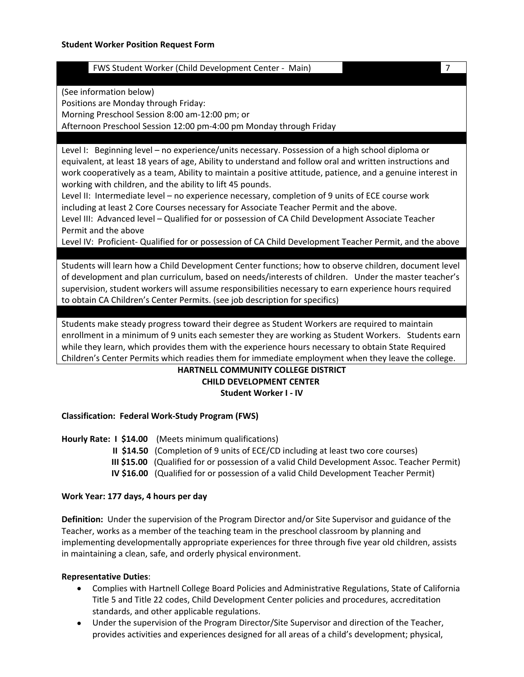| (Child<br>TWS Stu<br>Worker<br>Development<br>Main<br>. center<br>. Studenf |  |  |
|-----------------------------------------------------------------------------|--|--|
|                                                                             |  |  |

(See information below)

Positions are Monday through Friday:

Morning Preschool Session 8:00 am-12:00 pm; or

Afternoon Preschool Session 12:00 pm-4:00 pm Monday through Friday

Level I: Beginning level – no experience/units necessary. Possession of a high school diploma or equivalent, at least 18 years of age, Ability to understand and follow oral and written instructions and work cooperatively as a team, Ability to maintain a positive attitude, patience, and a genuine interest in working with children, and the ability to lift 45 pounds.

Level II: Intermediate level – no experience necessary, completion of 9 units of ECE course work including at least 2 Core Courses necessary for Associate Teacher Permit and the above. Level III: Advanced level – Qualified for or possession of CA Child Development Associate Teacher

Permit and the above Level IV: Proficient- Qualified for or possession of CA Child Development Teacher Permit, and the above

Students will learn how a Child Development Center functions; how to observe children, document level of development and plan curriculum, based on needs/interests of children. Under the master teacher's supervision, student workers will assume responsibilities necessary to earn experience hours required to obtain CA Children's Center Permits. (see job description for specifics)

Students make steady progress toward their degree as Student Workers are required to maintain enrollment in a minimum of 9 units each semester they are working as Student Workers. Students earn while they learn, which provides them with the experience hours necessary to obtain State Required Children's Center Permits which readies them for immediate employment when they leave the college.

# **HARTNELL COMMUNITY COLLEGE DISTRICT CHILD DEVELOPMENT CENTER Student Worker I - IV**

## **Classification: Federal Work-Study Program (FWS)**

**Hourly Rate: I \$14.00** (Meets minimum qualifications)  **II \$14.50** (Completion of 9 units of ECE/CD including at least two core courses)  **III \$15.00** (Qualified for or possession of a valid Child Development Assoc. Teacher Permit)  **IV \$16.00** (Qualified for or possession of a valid Child Development Teacher Permit)

## **Work Year: 177 days, 4 hours per day**

**Definition:** Under the supervision of the Program Director and/or Site Supervisor and guidance of the Teacher, works as a member of the teaching team in the preschool classroom by planning and implementing developmentally appropriate experiences for three through five year old children, assists in maintaining a clean, safe, and orderly physical environment.

## **Representative Duties**:

- Complies with Hartnell College Board Policies and Administrative Regulations, State of California Title 5 and Title 22 codes, Child Development Center policies and procedures, accreditation standards, and other applicable regulations.
- Under the supervision of the Program Director/Site Supervisor and direction of the Teacher, provides activities and experiences designed for all areas of a child's development; physical,